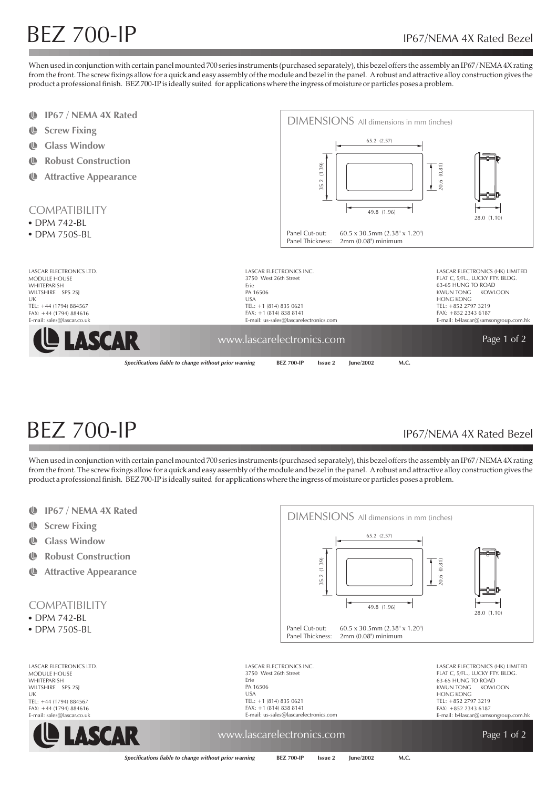# $BEZ$   $700$ -IP IP67/NEMA 4X Rated Bezel

When used in conjunction with certain panel mounted 700 series instruments (purchased separately), this bezel offers the assembly an IP67/NEMA 4X rating from the front. The screw fixings allow for a quick and easy assembly of the module and bezel in the panel. A robust and attractive alloy construction gives the product a professional finish. BEZ 700-IP is ideally suited for applications where the ingress of moisture or particles poses a problem.

- $\mathbf{r}$ **IP67 / NEMA 4X Rated**
- $\mathbf{\mathbb{C}}$ **Screw Fixing**
- ¢ **Glass Window**
- $\mathbf{C}$ **Robust Construction**
- $\mathbf{C}$ **Attractive Appearance**

### **COMPATIBILITY**

- DPM 742-BL
- DPM 750S-BL

LASCAR ELECTRONIC MODULE HOUSE WHITEPARISH WILTSHIRE SP5 2SI UK  $TEI: +44 (1794) 8845$ FAX: +44 (1794) 8846 E-mail: sales@lascar.co





| s ltd.       | LASCAR ELECTRONICS INC.                                                                            | LASCAR ELECTRONICS (HK) LIMITED     |
|--------------|----------------------------------------------------------------------------------------------------|-------------------------------------|
|              | 3750 West 26th Street                                                                              | FLAT C, 5/FL., LUCKY FTY. BLDG.     |
|              | Frie                                                                                               | 63-65 HUNG TO ROAD                  |
|              | PA 16506                                                                                           | KWUN TONG<br>KOWLOON                |
|              | <b>USA</b>                                                                                         | HONG KONG                           |
| 67           | TEL: $+1(814) 835 0621$                                                                            | TEL: +852 2797 3219                 |
| 516          | $FAX: +1(814) 838 8141$                                                                            | $FAX: +85223436187$                 |
| , uk         | E-mail: us-sales@lascarelectronics.com                                                             | E-mail: b4lascar@samsongroup.com.hk |
| <b>ISCAF</b> | www.lascarelectronics.com                                                                          | Page 1 of 2                         |
|              |                                                                                                    |                                     |
|              | Specifications liable to change without prior warning<br>lune/2002<br><b>BEZ 700-IP</b><br>Issue 2 | M.C.                                |

# $BEZ$   $700$ -IP IP67/NEMA 4X Rated Bezel

When used in conjunction with certain panel mounted 700 series instruments (purchased separately), this bezel offers the assembly an IP67 / NEMA 4X rating from the front. The screw fixings allow for a quick and easy assembly of the module and bezel in the panel. A robust and attractive alloy construction gives the product a professional finish. BEZ 700-IP is ideally suited for applications where the ingress of moisture or particles poses a problem.

- $\mathbb{D}$ **IP67 / NEMA 4X Rated**
- Ü **Screw Fixing**
- **IL Glass Window**
- $\mathbf{\mathbb{C}}$ **Robust Construction**
- ¢ **Attractive Appearance**

### **COMPATIBILITY**

- DPM 742-BL
- DPM 750S-BL

LASCAR ELECTRONICS LTD. MODULE HOUSE **WHITEPARISH** WILTSHIRE SP5 2SJ UK TEL: +44 (1794) 884567 FAX: +44 (1794) 884616 E-mail: sales@lascar.co.uk





LASCAR ELECTRONICS INC. 3750 West 26th Street Erie PA 16506 USA TEL: +1 (814) 835 0621 FAX: +1 (814) 838 8141 E-mail: us-sales@lascarelectronics.com LASCAR ELECTRONICS (HK) LIMITED FLAT C, 5/FL., LUCKY FTY. BLDG. 63-65 HUNG TO ROAD KWUN TONG KOWLOON HONG KONG TEL: +852 2797 3219  $FAX: +852 2343 6187$ E-mail: b4lascar@samsongroup.com.hk

## www.lascarelectronics.com **Page 1** of 2